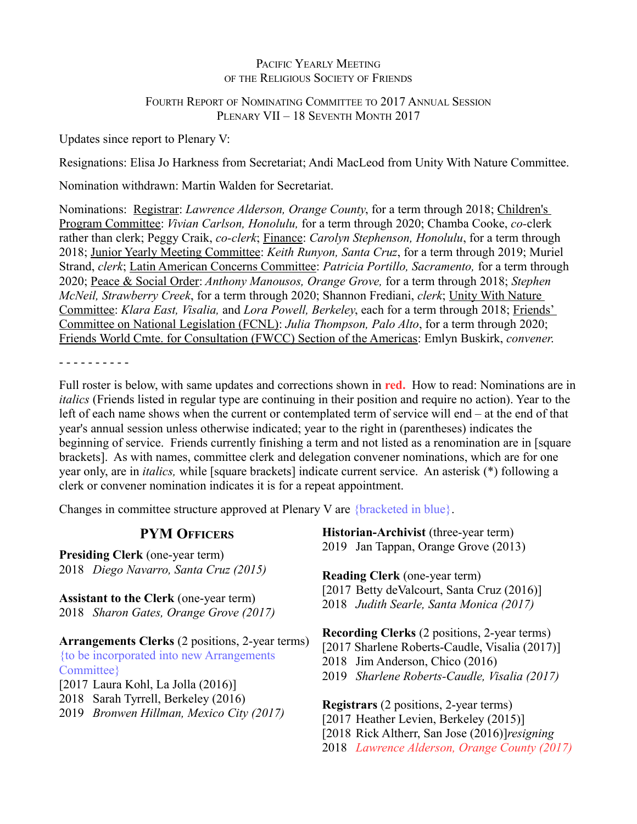## PACIFIC YEARLY MEETING OF THE RELIGIOUS SOCIETY OF FRIENDS

## FOURTH REPORT OF NOMINATING COMMITTEE TO 2017 ANNUAL SESSION PLENARY VII – 18 SEVENTH MONTH 2017

Updates since report to Plenary V:

Resignations: Elisa Jo Harkness from Secretariat; Andi MacLeod from Unity With Nature Committee.

Nomination withdrawn: Martin Walden for Secretariat.

Nominations: Registrar: *Lawrence Alderson, Orange County*, for a term through 2018; Children's Program Committee: *Vivian Carlson, Honolulu,* for a term through 2020; Chamba Cooke, *co-*clerk rather than clerk; Peggy Craik, *co-clerk*; Finance: *Carolyn Stephenson, Honolulu*, for a term through 2018; Junior Yearly Meeting Committee: *Keith Runyon, Santa Cruz*, for a term through 2019; Muriel Strand, *clerk*; Latin American Concerns Committee: *Patricia Portillo, Sacramento,* for a term through 2020; Peace & Social Order: *Anthony Manousos, Orange Grove,* for a term through 2018; *Stephen McNeil, Strawberry Creek*, for a term through 2020; Shannon Frediani, *clerk*; Unity With Nature Committee: *Klara East, Visalia,* and *Lora Powell, Berkeley*, each for a term through 2018; Friends' Committee on National Legislation (FCNL): *Julia Thompson, Palo Alto*, for a term through 2020; Friends World Cmte. for Consultation (FWCC) Section of the Americas: Emlyn Buskirk, *convener*.

- - - - - - - - - -

Full roster is below, with same updates and corrections shown in **red.** How to read: Nominations are in *italics* (Friends listed in regular type are continuing in their position and require no action). Year to the left of each name shows when the current or contemplated term of service will end – at the end of that year's annual session unless otherwise indicated; year to the right in (parentheses) indicates the beginning of service. Friends currently finishing a term and not listed as a renomination are in [square brackets]. As with names, committee clerk and delegation convener nominations, which are for one year only, are in *italics,* while [square brackets] indicate current service. An asterisk (\*) following a clerk or convener nomination indicates it is for a repeat appointment.

Changes in committee structure approved at Plenary V are {bracketed in blue}.

| <b>PYM OFFICERS</b>                                                                                                                                   | Historian-Archivist (three-year term)                                                                                                                                                            |  |
|-------------------------------------------------------------------------------------------------------------------------------------------------------|--------------------------------------------------------------------------------------------------------------------------------------------------------------------------------------------------|--|
| <b>Presiding Clerk</b> (one-year term)                                                                                                                | 2019 Jan Tappan, Orange Grove (2013)                                                                                                                                                             |  |
| 2018 Diego Navarro, Santa Cruz (2015)                                                                                                                 | <b>Reading Clerk</b> (one-year term)                                                                                                                                                             |  |
| <b>Assistant to the Clerk</b> (one-year term)<br>2018 Sharon Gates, Orange Grove (2017)                                                               | [2017 Betty deValcourt, Santa Cruz (2016)]<br>2018 Judith Searle, Santa Monica (2017)                                                                                                            |  |
| Arrangements Clerks (2 positions, 2-year terms)<br>{to be incorporated into new Arrangements<br>Committee}<br>$[2017$ Laura Kohl, La Jolla $(2016)$ ] | <b>Recording Clerks</b> (2 positions, 2-year terms)<br>[2017 Sharlene Roberts-Caudle, Visalia (2017)]<br>2018 Jim Anderson, Chico (2016)<br>2019 Sharlene Roberts-Caudle, Visalia (2017)         |  |
| 2018 Sarah Tyrrell, Berkeley (2016)<br>2019 Bronwen Hillman, Mexico City (2017)                                                                       | <b>Registrars</b> (2 positions, 2-year terms)<br>[2017 Heather Levien, Berkeley (2015)]<br>[2018 Rick Altherr, San Jose (2016)] <i>resigning</i><br>2018 Lawrence Alderson, Orange County (2017) |  |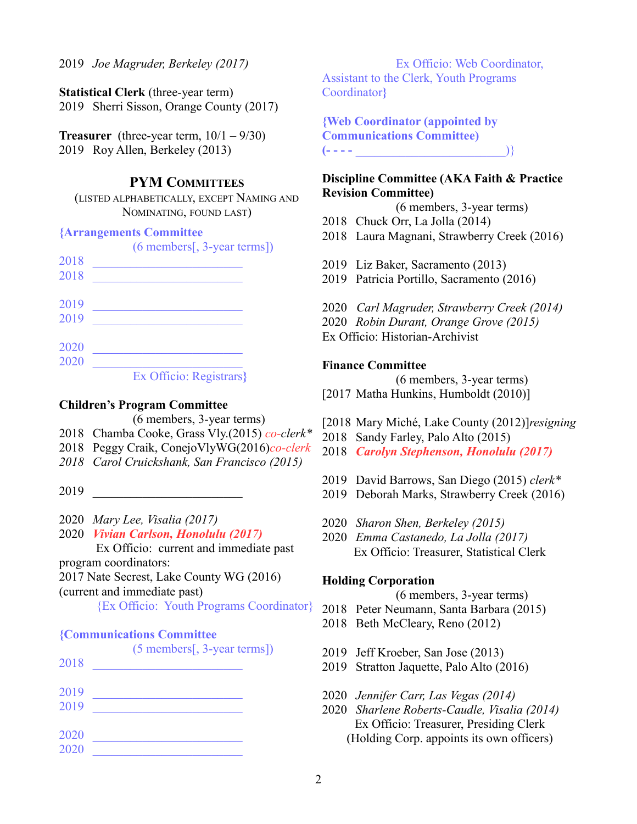2019 *Joe Magruder, Berkeley (2017)*

**Statistical Clerk** (three-year term) 2019 Sherri Sisson, Orange County (2017)

**Treasurer** (three-year term,  $10/1 - 9/30$ ) 2019 Roy Allen, Berkeley (2013)

## **PYM COMMITTEES**

(LISTED ALPHABETICALLY, EXCEPT NAMING AND NOMINATING, FOUND LAST)

#### **{Arrangements Committee**

|      | $(6$ members[, 3-year terms])                                                                                     |
|------|-------------------------------------------------------------------------------------------------------------------|
| 2018 |                                                                                                                   |
| 2018 |                                                                                                                   |
| 2019 |                                                                                                                   |
| 2019 |                                                                                                                   |
| 2020 |                                                                                                                   |
| 2020 |                                                                                                                   |
|      | $E_{\text{tot}}$ $\Omega_{\text{tot}}^{cc}$ , $\Omega_{\text{tot}}$ $\Omega_{\text{tot}}$ , $\Omega_{\text{tot}}$ |

Ex Officio: Registrars**}**

#### **Children's Program Committee**

(6 members, 3-year terms)

- 2018 Chamba Cooke, Grass Vly.(2015) *co-clerk\**
- 2018 Peggy Craik, ConejoVlyWG(2016)*co-clerk*
- *2018 Carol Cruickshank, San Francisco (2015)*
- 2019 \_\_\_\_\_\_\_\_\_\_\_\_\_\_\_\_\_\_\_\_\_\_\_\_
- 2020 *Mary Lee, Visalia (2017)*
- 2020 *Vivian Carlson, Honolulu (2017)*

Ex Officio: current and immediate past

program coordinators:

2017 Nate Secrest, Lake County WG (2016)

(current and immediate past)

{Ex Officio: Youth Programs Coordinator}

### **{Communications Committee**

|      | $(5$ members[, 3-year terms]) |  |
|------|-------------------------------|--|
| 2018 |                               |  |
|      |                               |  |
| 2019 |                               |  |
| 2019 |                               |  |
|      |                               |  |
| 2020 |                               |  |
| 2020 |                               |  |
|      |                               |  |

Ex Officio: Web Coordinator, Assistant to the Clerk, Youth Programs Coordinator**}**

**{Web Coordinator (appointed by Communications Committee) (- - - -** \_\_\_\_\_\_\_\_\_\_\_\_\_\_\_\_\_\_\_\_\_\_\_\_)}

## **Discipline Committee (AKA Faith & Practice Revision Committee)**

(6 members, 3-year terms)

- 2018 Chuck Orr, La Jolla (2014)
- 2018 Laura Magnani, Strawberry Creek (2016)
- 2019 Liz Baker, Sacramento (2013)
- 2019 Patricia Portillo, Sacramento (2016)
- 2020 *Carl Magruder, Strawberry Creek (2014)*
- 2020 *Robin Durant, Orange Grove (2015)*

Ex Officio: Historian-Archivist

#### **Finance Committee**

(6 members, 3-year terms)

- [2017 Matha Hunkins, Humboldt (2010)]
- [2018 Mary Miché, Lake County (2012)]*resigning*
- 2018 Sandy Farley, Palo Alto (2015)
- 2018 *Carolyn Stephenson, Honolulu (2017)*
- 2019 David Barrows, San Diego (2015) *clerk\**
- 2019 Deborah Marks, Strawberry Creek (2016)
- 2020 *Sharon Shen, Berkeley (2015)*
- 2020 *Emma Castanedo, La Jolla (2017)* Ex Officio: Treasurer, Statistical Clerk

#### **Holding Corporation**

(6 members, 3-year terms)

- 2018 Peter Neumann, Santa Barbara (2015)
- 2018 Beth McCleary, Reno (2012)
- 2019 Jeff Kroeber, San Jose (2013)
- 2019 Stratton Jaquette, Palo Alto (2016)
- 2020 *Jennifer Carr, Las Vegas (2014)*
- 2020 *Sharlene Roberts-Caudle, Visalia (2014)* Ex Officio: Treasurer, Presiding Clerk (Holding Corp. appoints its own officers)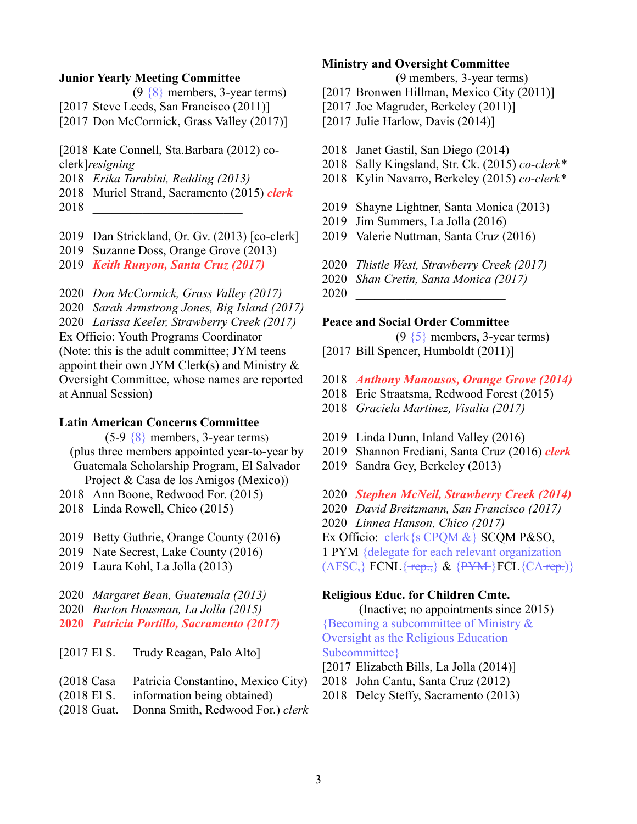#### **Junior Yearly Meeting Committee**

| $(9 \{8\}$ members, 3-year terms)           |
|---------------------------------------------|
| [2017 Steve Leeds, San Francisco $(2011)$ ] |
| [2017 Don McCormick, Grass Valley (2017)]   |

[2018 Kate Connell, Sta.Barbara (2012) coclerk]*resigning*

- 2018 *Erika Tarabini, Redding (2013)*
- 2018 Muriel Strand, Sacramento (2015) *clerk*
- 2018 \_\_\_\_\_\_\_\_\_\_\_\_\_\_\_\_\_\_\_\_\_\_\_\_
- 2019 Dan Strickland, Or. Gv. (2013) [co-clerk]
- 2019 Suzanne Doss, Orange Grove (2013)
- 2019 *Keith Runyon, Santa Cruz (2017)*

2020 *Don McCormick, Grass Valley (2017)* 2020 *Sarah Armstrong Jones, Big Island (2017)* 2020 *Larissa Keeler, Strawberry Creek (2017)* Ex Officio: Youth Programs Coordinator (Note: this is the adult committee; JYM teens appoint their own JYM Clerk(s) and Ministry  $\&$ Oversight Committee, whose names are reported at Annual Session)

#### **Latin American Concerns Committee**

(5-9 {8} members, 3-year terms) (plus three members appointed year-to-year by Guatemala Scholarship Program, El Salvador Project & Casa de los Amigos (Mexico))

- 2018 Ann Boone, Redwood For. (2015)
- 2018 Linda Rowell, Chico (2015)
- 2019 Betty Guthrie, Orange County (2016)
- 2019 Nate Secrest, Lake County (2016)
- 2019 Laura Kohl, La Jolla (2013)
- 2020 *Margaret Bean, Guatemala (2013)*
- 2020 *Burton Housman, La Jolla (2015)*
- **2020** *Patricia Portillo, Sacramento (2017)*

[2017 El S. Trudy Reagan, Palo Alto]

- (2018 Casa Patricia Constantino, Mexico City)
- (2018 El S. information being obtained)
- (2018 Guat. Donna Smith, Redwood For.) *clerk*

#### **Ministry and Oversight Committee**

(9 members, 3-year terms)

- [2017 Bronwen Hillman, Mexico City (2011)]
- [2017 Joe Magruder, Berkeley (2011)]
- [2017 Julie Harlow, Davis (2014)]
- 2018 Janet Gastil, San Diego (2014)
- 2018 Sally Kingsland, Str. Ck. (2015) *co-clerk\**
- 2018 Kylin Navarro, Berkeley (2015) *co-clerk\**
- 2019 Shayne Lightner, Santa Monica (2013)
- 2019 Jim Summers, La Jolla (2016)
- 2019 Valerie Nuttman, Santa Cruz (2016)

2020 *Thistle West, Strawberry Creek (2017)*

2020 *Shan Cretin, Santa Monica (2017)*

2020 \_\_\_\_\_\_\_\_\_\_\_\_\_\_\_\_\_\_\_\_\_\_\_\_

#### **Peace and Social Order Committee**

 $(9 \{5\}$  members, 3-year terms)

- [2017 Bill Spencer, Humboldt (2011)]
- 2018 *Anthony Manousos, Orange Grove (2014)*
- 2018 Eric Straatsma, Redwood Forest (2015)
- 2018 *Graciela Martinez, Visalia (2017)*
- 2019 Linda Dunn, Inland Valley (2016)
- 2019 Shannon Frediani, Santa Cruz (2016) *clerk*
- 2019 Sandra Gey, Berkeley (2013)
- 2020 *Stephen McNeil, Strawberry Creek (2014)*
- 2020 *David Breitzmann, San Francisco (2017)*

2020 *Linnea Hanson, Chico (2017)*

Ex Officio: clerk {s CPQM &} SCQM P&SO,

1 PYM {delegate for each relevant organization

 $(AFSC, \text{FCNL} \{\text{rep.}, \& \{PYM\}FCL \{CA\text{rep.}\})\}$ 

## **Religious Educ. for Children Cmte.**

(Inactive; no appointments since 2015) {Becoming a subcommittee of Ministry & Oversight as the Religious Education Subcommittee}

- [2017 Elizabeth Bills, La Jolla (2014)]
- 2018 John Cantu, Santa Cruz (2012)
- 2018 Delcy Steffy, Sacramento (2013)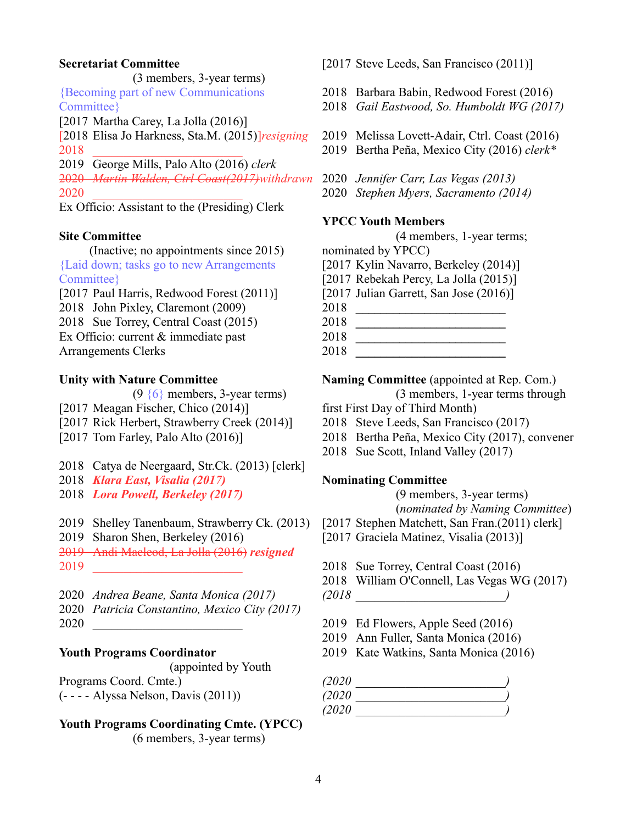### **Secretariat Committee**

(3 members, 3-year terms) {Becoming part of new Communications Committee}

[2017 Martha Carey, La Jolla (2016)]

[2018 Elisa Jo Harkness, Sta.M. (2015)]*resigning* 2018 \_\_\_\_\_\_\_\_\_\_\_\_\_\_\_\_\_\_\_\_\_\_\_\_

2019 George Mills, Palo Alto (2016) *clerk*

2020 *Martin Walden, Ctrl Coast(2017)withdrawn* 2020 \_\_\_\_\_\_\_\_\_\_\_\_\_\_\_\_\_\_\_\_\_\_\_\_

Ex Officio: Assistant to the (Presiding) Clerk

#### **Site Committee**

(Inactive; no appointments since 2015) {Laid down; tasks go to new Arrangements Committee}

[2017 Paul Harris, Redwood Forest (2011)] 2018 John Pixley, Claremont (2009) 2018 Sue Torrey, Central Coast (2015) Ex Officio: current & immediate past Arrangements Clerks

#### **Unity with Nature Committee**

(9 {6} members, 3-year terms) [2017 Meagan Fischer, Chico (2014)]

- 
- [2017 Rick Herbert, Strawberry Creek (2014)]
- [2017 Tom Farley, Palo Alto (2016)]

2018 Catya de Neergaard, Str.Ck. (2013) [clerk]

- 2018 *Klara East, Visalia (2017)*
- 2018 *Lora Powell, Berkeley (2017)*

2019 Shelley Tanenbaum, Strawberry Ck. (2013)

2019 Sharon Shen, Berkeley (2016)

2019 Andi Macleod, La Jolla (2016) *resigned*

2019 \_\_\_\_\_\_\_\_\_\_\_\_\_\_\_\_\_\_\_\_\_\_\_\_

2020 *Andrea Beane, Santa Monica (2017)* 2020 *Patricia Constantino, Mexico City (2017)* 2020 \_\_\_\_\_\_\_\_\_\_\_\_\_\_\_\_\_\_\_\_\_\_\_\_

## **Youth Programs Coordinator**

(appointed by Youth

Programs Coord. Cmte.)

(- - - - Alyssa Nelson, Davis (2011))

# **Youth Programs Coordinating Cmte. (YPCC)**

(6 members, 3-year terms)

[2017 Steve Leeds, San Francisco (2011)]

- 2018 Barbara Babin, Redwood Forest (2016)
- 2018 *Gail Eastwood, So. Humboldt WG (2017)*
- 2019 Melissa Lovett-Adair, Ctrl. Coast (2016)
- 2019 Bertha Peña, Mexico City (2016) *clerk\**
- 2020 *Jennifer Carr, Las Vegas (2013)*
- 2020 *Stephen Myers, Sacramento (2014)*

#### **YPCC Youth Members**

(4 members, 1-year terms;

nominated by YPCC)

- [2017 Kylin Navarro, Berkeley (2014)]
- [2017 Rebekah Percy, La Jolla (2015)]
- [2017 Julian Garrett, San Jose (2016)]
- 2018 **\_\_\_\_\_\_\_\_\_\_\_\_\_\_\_\_\_\_\_\_\_\_\_\_**
- 2018 **\_\_\_\_\_\_\_\_\_\_\_\_\_\_\_\_\_\_\_\_\_\_\_\_**
- 2018 **\_\_\_\_\_\_\_\_\_\_\_\_\_\_\_\_\_\_\_\_\_\_\_\_**
- 2018 **\_\_\_\_\_\_\_\_\_\_\_\_\_\_\_\_\_\_\_\_\_\_\_\_**

### **Naming Committee** (appointed at Rep. Com.)

(3 members, 1-year terms through

- first First Day of Third Month)
- 2018 Steve Leeds, San Francisco (2017)
- 2018 Bertha Peña, Mexico City (2017), convener
- 2018 Sue Scott, Inland Valley (2017)

## **Nominating Committee**

(9 members, 3-year terms) (*nominated by Naming Committee*)

- [2017 Stephen Matchett, San Fran.(2011) clerk]
- [2017 Graciela Matinez, Visalia (2013)]
- 2018 Sue Torrey, Central Coast (2016)
- 2018 William O'Connell, Las Vegas WG (2017)
- *(2018 \_\_\_\_\_\_\_\_\_\_\_\_\_\_\_\_\_\_\_\_\_\_\_\_)*
- 2019 Ed Flowers, Apple Seed (2016)
- 2019 Ann Fuller, Santa Monica (2016)
- 2019 Kate Watkins, Santa Monica (2016)

| (2020  |  |
|--------|--|
| (2020  |  |
| (2020) |  |